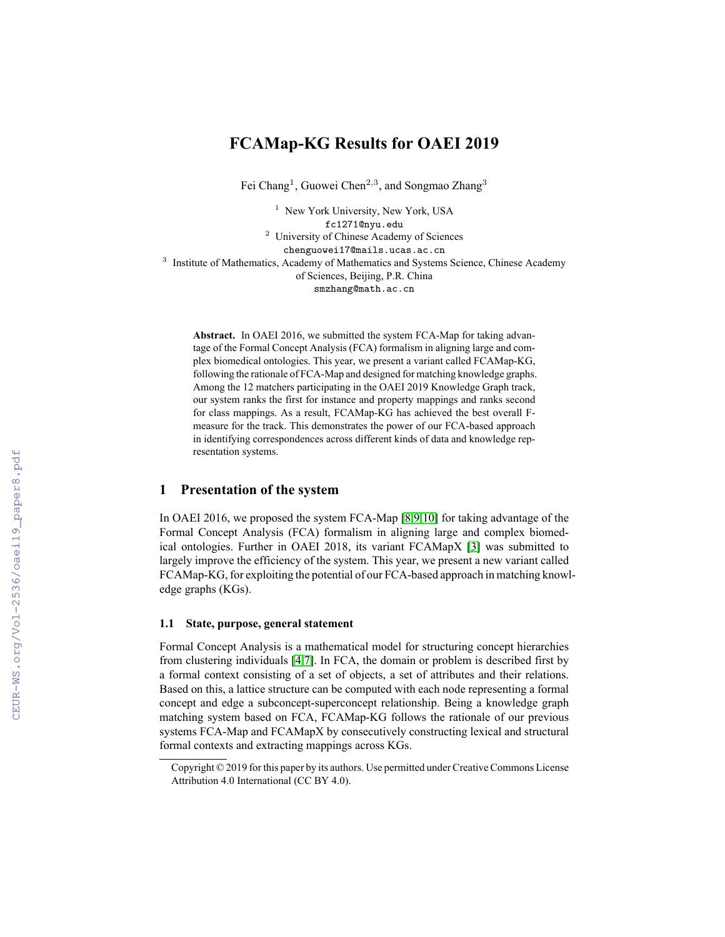# **FCAMap-KG Results for OAEI 2019**

Fei Chang<sup>1</sup>, Guowei Chen<sup>2,3</sup>, and Songmao Zhang<sup>3</sup>

<sup>1</sup> New York University, New York, USA fc1271@nyu.edu <sup>2</sup> University of Chinese Academy of Sciences chenguowei17@mails.ucas.ac.cn <sup>3</sup> Institute of Mathematics, Academy of Mathematics and Systems Science, Chinese Academy of Sciences, Beijing, P.R. China smzhang@math.ac.cn

**Abstract.** In OAEI 2016, we submitted the system FCA-Map for taking advantage of the Formal Concept Analysis (FCA) formalism in aligning large and complex biomedical ontologies. This year, we present a variant called FCAMap-KG, following the rationale of FCA-Map and designed for matching knowledge graphs. Among the 12 matchers participating in the OAEI 2019 Knowledge Graph track, our system ranks the first for instance and property mappings and ranks second for class mappings. As a result, FCAMap-KG has achieved the best overall Fmeasure for the track. This demonstrates the power of our FCA-based approach in identifying correspondences across different kinds of data and knowledge representation systems.

# **1 Presentation of the system**

In OAEI 2016, we proposed the system FCA-Map [\[8,](#page--1-0)[9,](#page--1-1)[10\]](#page--1-2) for taking advantage of the Formal Concept Analysis (FCA) formalism in aligning large and complex biomedical ontologies. Further in OAEI 2018, its variant FCAMapX [\[3\]](#page--1-3) was submitted to largely improve the efficiency of the system. This year, we present a new variant called FCAMap-KG, for exploiting the potential of our FCA-based approach in matching knowledge graphs (KGs).

# **1.1 State, purpose, general statement**

Formal Concept Analysis is a mathematical model for structuring concept hierarchies from clustering individuals [\[4](#page--1-4)[,7\]](#page--1-5). In FCA, the domain or problem is described first by a formal context consisting of a set of objects, a set of attributes and their relations. Based on this, a lattice structure can be computed with each node representing a formal concept and edge a subconcept-superconcept relationship. Being a knowledge graph matching system based on FCA, FCAMap-KG follows the rationale of our previous systems FCA-Map and FCAMapX by consecutively constructing lexical and structural formal contexts and extracting mappings across KGs.

Copyright © 2019 for this paper by its authors. Use permitted under Creative Commons License Attribution 4.0 International (CC BY 4.0).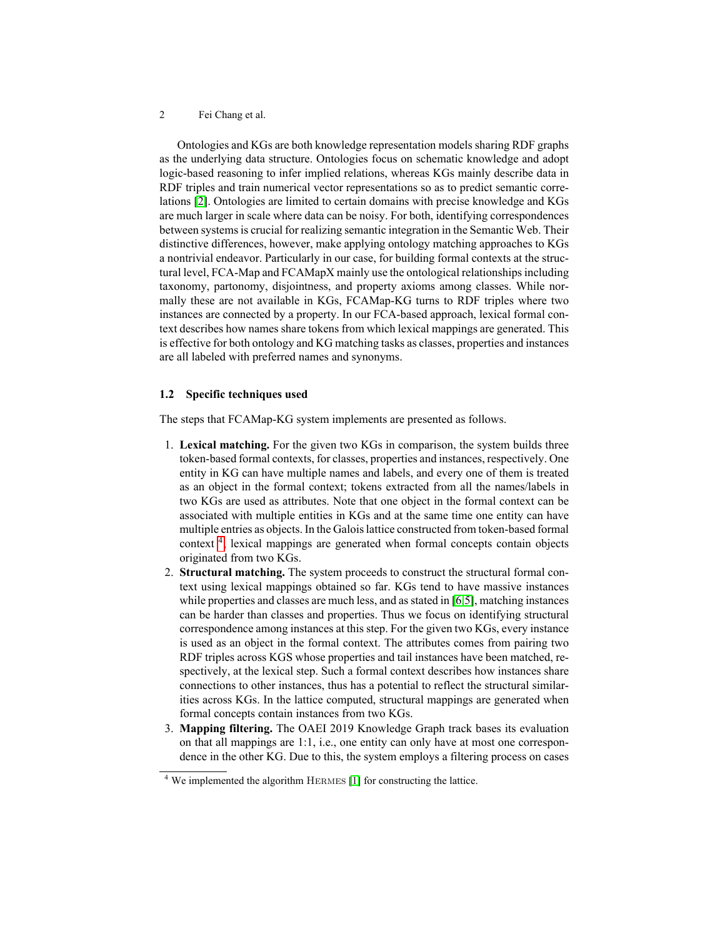Ontologies and KGs are both knowledge representation models sharing RDF graphs as the underlying data structure. Ontologies focus on schematic knowledge and adopt logic-based reasoning to infer implied relations, whereas KGs mainly describe data in RDF triples and train numerical vector representations so as to predict semantic correlations [\[2\]](#page-7-0). Ontologies are limited to certain domains with precise knowledge and KGs are much larger in scale where data can be noisy. For both, identifying correspondences between systems is crucial for realizing semantic integration in the Semantic Web. Their distinctive differences, however, make applying ontology matching approaches to KGs a nontrivial endeavor. Particularly in our case, for building formal contexts at the structural level, FCA-Map and FCAMapX mainly use the ontological relationships including taxonomy, partonomy, disjointness, and property axioms among classes. While normally these are not available in KGs, FCAMap-KG turns to RDF triples where two instances are connected by a property. In our FCA-based approach, lexical formal context describes how names share tokens from which lexical mappings are generated. This is effective for both ontology and KG matching tasks as classes, properties and instances are all labeled with preferred names and synonyms.

# **1.2 Specific techniques used**

The steps that FCAMap-KG system implements are presented as follows.

- 1. **Lexical matching.** For the given two KGs in comparison, the system builds three token-based formal contexts, for classes, properties and instances, respectively. One entity in KG can have multiple names and labels, and every one of them is treated as an object in the formal context; tokens extracted from all the names/labels in two KGs are used as attributes. Note that one object in the formal context can be associated with multiple entities in KGs and at the same time one entity can have multiple entries as objects. In the Galois lattice constructed from token-based formal context [4](#page-1-0) , lexical mappings are generated when formal concepts contain objects originated from two KGs.
- 2. **Structural matching.** The system proceeds to construct the structural formal context using lexical mappings obtained so far. KGs tend to have massive instances while properties and classes are much less, and as stated in [\[6](#page-7-1)[,5\]](#page-7-2), matching instances can be harder than classes and properties. Thus we focus on identifying structural correspondence among instances at this step. For the given two KGs, every instance is used as an object in the formal context. The attributes comes from pairing two RDF triples across KGS whose properties and tail instances have been matched, respectively, at the lexical step. Such a formal context describes how instances share connections to other instances, thus has a potential to reflect the structural similarities across KGs. In the lattice computed, structural mappings are generated when formal concepts contain instances from two KGs.
- 3. **Mapping filtering.** The OAEI 2019 Knowledge Graph track bases its evaluation on that all mappings are 1:1, i.e., one entity can only have at most one correspondence in the other KG. Due to this, the system employs a filtering process on cases

<span id="page-1-0"></span><sup>4</sup> We implemented the algorithm Hermes [\[1\]](#page-7-3) for constructing the lattice.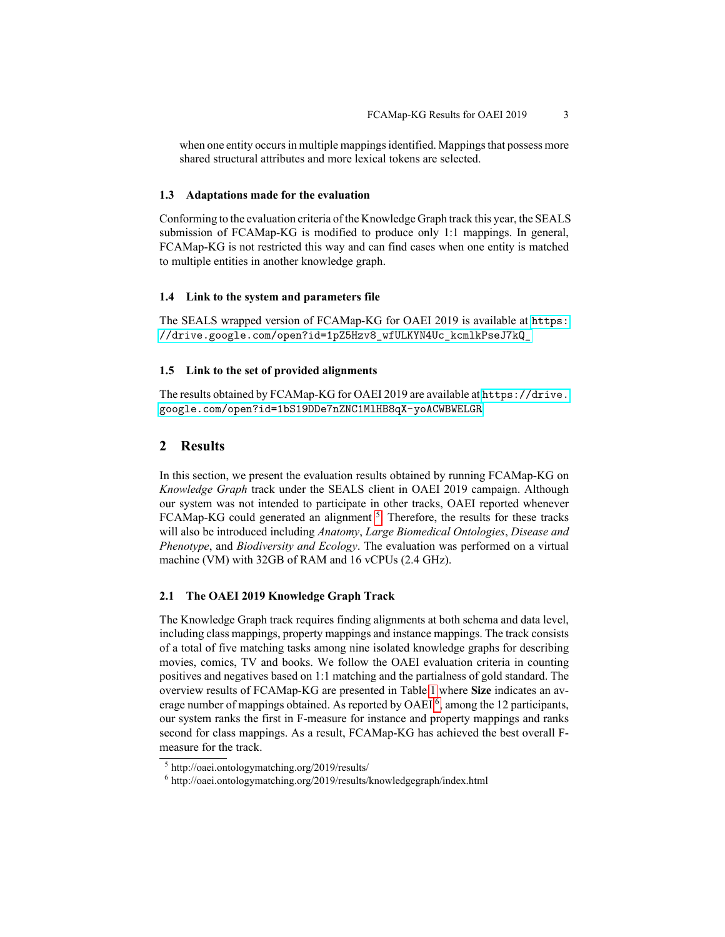when one entity occurs in multiple mappings identified. Mappings that possess more shared structural attributes and more lexical tokens are selected.

### **1.3 Adaptations made for the evaluation**

Conforming to the evaluation criteria of the Knowledge Graph track this year, the SEALS submission of FCAMap-KG is modified to produce only 1:1 mappings. In general, FCAMap-KG is not restricted this way and can find cases when one entity is matched to multiple entities in another knowledge graph.

### **1.4 Link to the system and parameters file**

The SEALS wrapped version of FCAMap-KG for OAEI 2019 is available at [https:](https://drive.google.com/open?id=1pZ5Hzv8_wfULKYN4Uc_kcmlkPseJ7kQ_) [//drive.google.com/open?id=1pZ5Hzv8\\_wfULKYN4Uc\\_kcmlkPseJ7kQ\\_](https://drive.google.com/open?id=1pZ5Hzv8_wfULKYN4Uc_kcmlkPseJ7kQ_)

# **1.5 Link to the set of provided alignments**

The results obtained by FCAMap-KG for OAEI 2019 are available at [https://drive.](https://drive.google.com/open?id=1bS19DDe7nZNC1MlHB8qX-yoACWBWELGR) [google.com/open?id=1bS19DDe7nZNC1MlHB8qX-yoACWBWELGR](https://drive.google.com/open?id=1bS19DDe7nZNC1MlHB8qX-yoACWBWELGR)

# **2 Results**

In this section, we present the evaluation results obtained by running FCAMap-KG on *Knowledge Graph* track under the SEALS client in OAEI 2019 campaign. Although our system was not intended to participate in other tracks, OAEI reported whenever  $FCAMap-KG$  could generated an alignment  $5$ . Therefore, the results for these tracks will also be introduced including *Anatomy*, *Large Biomedical Ontologies*, *Disease and Phenotype*, and *Biodiversity and Ecology*. The evaluation was performed on a virtual machine (VM) with 32GB of RAM and 16 vCPUs (2.4 GHz).

# **2.1 The OAEI 2019 Knowledge Graph Track**

The Knowledge Graph track requires finding alignments at both schema and data level, including class mappings, property mappings and instance mappings. The track consists of a total of five matching tasks among nine isolated knowledge graphs for describing movies, comics, TV and books. We follow the OAEI evaluation criteria in counting positives and negatives based on 1:1 matching and the partialness of gold standard. The overview results of FCAMap-KG are presented in Table [1](#page-3-0) where **Size** indicates an av-erage number of mappings obtained. As reported by OAEI<sup>[6](#page-2-1)</sup>, among the 12 participants, our system ranks the first in F-measure for instance and property mappings and ranks second for class mappings. As a result, FCAMap-KG has achieved the best overall Fmeasure for the track.

<span id="page-2-0"></span><sup>5</sup> http://oaei.ontologymatching.org/2019/results/

<span id="page-2-1"></span><sup>6</sup> http://oaei.ontologymatching.org/2019/results/knowledgegraph/index.html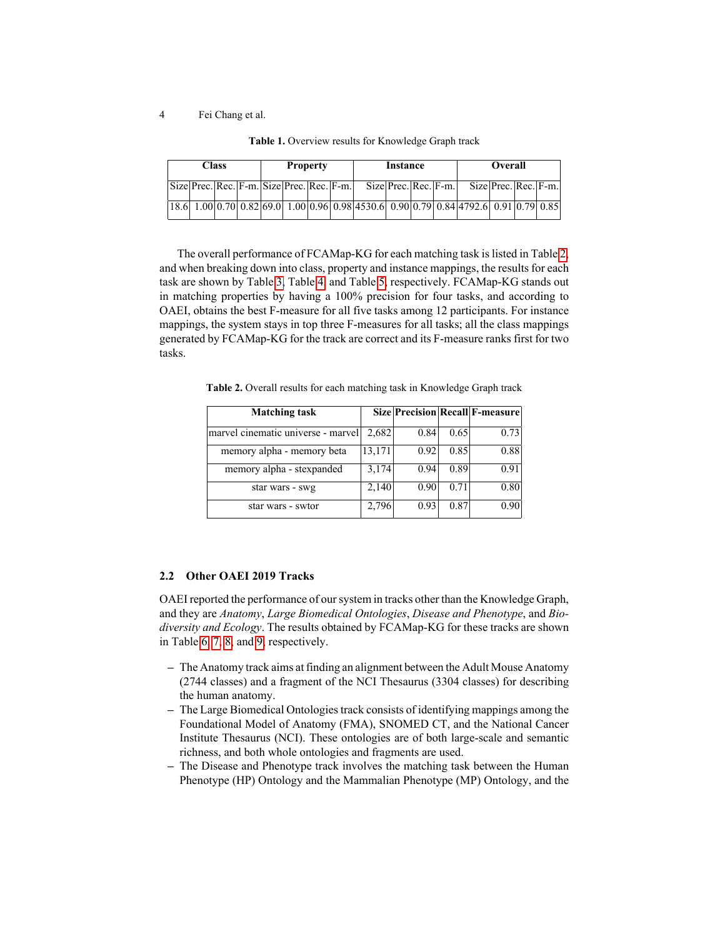| Class |  | <b>Property</b> |  |                                           | Instance |  |                                                                                  | Overall              |  |  |  |                      |  |  |
|-------|--|-----------------|--|-------------------------------------------|----------|--|----------------------------------------------------------------------------------|----------------------|--|--|--|----------------------|--|--|
|       |  |                 |  | Size Prec. Rec. F-m. Size Prec. Rec. F-m. |          |  |                                                                                  | Size Prec. Rec. F-m. |  |  |  | Size Prec. Rec. F-m. |  |  |
| 18.6  |  |                 |  |                                           |          |  | $1.00 0.70 0.82 69.0 1.00 0.96 0.98 4530.6 0.90 0.79 0.84 4792.6 0.91 0.79 0.85$ |                      |  |  |  |                      |  |  |

<span id="page-3-0"></span>**Table 1.** Overview results for Knowledge Graph track

The overall performance of FCAMap-KG for each matching task is listed in Table [2,](#page-3-1) and when breaking down into class, property and instance mappings, the results for each task are shown by Table [3,](#page-4-0) Table [4,](#page-4-1) and Table [5,](#page-5-0) respectively. FCAMap-KG stands out in matching properties by having a 100% precision for four tasks, and according to OAEI, obtains the best F-measure for all five tasks among 12 participants. For instance mappings, the system stays in top three F-measures for all tasks; all the class mappings generated by FCAMap-KG for the track are correct and its F-measure ranks first for two tasks.

<span id="page-3-1"></span>**Table 2.** Overall results for each matching task in Knowledge Graph track

| <b>Matching task</b>               |        |      |      | <b>Size Precision Recall F-measure</b> |
|------------------------------------|--------|------|------|----------------------------------------|
| marvel cinematic universe - marvel | 2,682  | 0.84 | 0.65 | 0.73                                   |
| memory alpha - memory beta         | 13,171 | 0.92 | 0.85 | 0.88                                   |
| memory alpha - stexpanded          | 3,174  | 0.94 | 0.89 | 0.91                                   |
| star wars - swg                    | 2,140  | 0.90 | 0.71 | 0.80                                   |
| star wars - swtor                  | 2,796  | 0.93 | 0.87 | 0.90                                   |

# **2.2 Other OAEI 2019 Tracks**

OAEI reported the performance of our system in tracks other than the Knowledge Graph, and they are *Anatomy*, *Large Biomedical Ontologies*, *Disease and Phenotype*, and *Biodiversity and Ecology*. The results obtained by FCAMap-KG for these tracks are shown in Table [6,](#page-5-1) [7,](#page-6-0) [8,](#page-6-1) and [9,](#page-7-4) respectively.

- **–** The Anatomy track aims at finding an alignment between the Adult Mouse Anatomy (2744 classes) and a fragment of the NCI Thesaurus (3304 classes) for describing the human anatomy.
- **–** The Large Biomedical Ontologies track consists of identifying mappings among the Foundational Model of Anatomy (FMA), SNOMED CT, and the National Cancer Institute Thesaurus (NCI). These ontologies are of both large-scale and semantic richness, and both whole ontologies and fragments are used.
- **–** The Disease and Phenotype track involves the matching task between the Human Phenotype (HP) Ontology and the Mammalian Phenotype (MP) Ontology, and the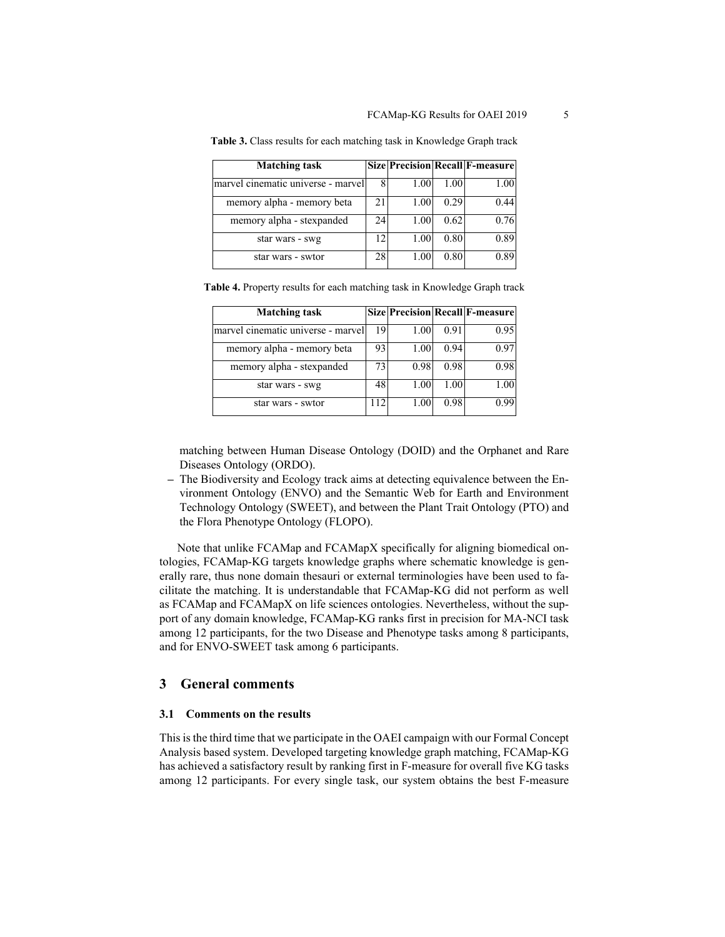| <b>Matching task</b>               |    |      |      | Size Precision Recall F-measure |
|------------------------------------|----|------|------|---------------------------------|
| marvel cinematic universe - marvel | 8  | 1.00 | 1.00 | 1.00                            |
| memory alpha - memory beta         | 21 | 1.00 | 0.29 | 0.44                            |
| memory alpha - stexpanded          | 24 | 1.00 | 0.62 | 0.76                            |
| star wars - swg                    | 12 | 1.00 | 0.80 | 0.89                            |
| star wars - swtor                  | 28 | 1.00 | 0.80 | 0.89                            |

<span id="page-4-0"></span>**Table 3.** Class results for each matching task in Knowledge Graph track

<span id="page-4-1"></span>

| Table 4. Property results for each matching task in Knowledge Graph track |  |  |
|---------------------------------------------------------------------------|--|--|
|                                                                           |  |  |

| <b>Matching task</b>               |     |      |      | Size Precision Recall F-measure |
|------------------------------------|-----|------|------|---------------------------------|
| marvel cinematic universe - marvel | 19  | 1.00 | 0.91 | 0.95                            |
| memory alpha - memory beta         | 93  | 1.00 | 0.94 | 0.97                            |
| memory alpha - stexpanded          | 73  | 0.98 | 0.98 | 0.98                            |
| star wars - swg                    | 48  | 1.00 | 1.00 | 1.00                            |
| star wars - swtor                  | 112 | 1.00 | 0.98 | 0.99                            |

matching between Human Disease Ontology (DOID) and the Orphanet and Rare Diseases Ontology (ORDO).

**–** The Biodiversity and Ecology track aims at detecting equivalence between the Environment Ontology (ENVO) and the Semantic Web for Earth and Environment Technology Ontology (SWEET), and between the Plant Trait Ontology (PTO) and the Flora Phenotype Ontology (FLOPO).

Note that unlike FCAMap and FCAMapX specifically for aligning biomedical ontologies, FCAMap-KG targets knowledge graphs where schematic knowledge is generally rare, thus none domain thesauri or external terminologies have been used to facilitate the matching. It is understandable that FCAMap-KG did not perform as well as FCAMap and FCAMapX on life sciences ontologies. Nevertheless, without the support of any domain knowledge, FCAMap-KG ranks first in precision for MA-NCI task among 12 participants, for the two Disease and Phenotype tasks among 8 participants, and for ENVO-SWEET task among 6 participants.

# **3 General comments**

### **3.1 Comments on the results**

This is the third time that we participate in the OAEI campaign with our Formal Concept Analysis based system. Developed targeting knowledge graph matching, FCAMap-KG has achieved a satisfactory result by ranking first in F-measure for overall five KG tasks among 12 participants. For every single task, our system obtains the best F-measure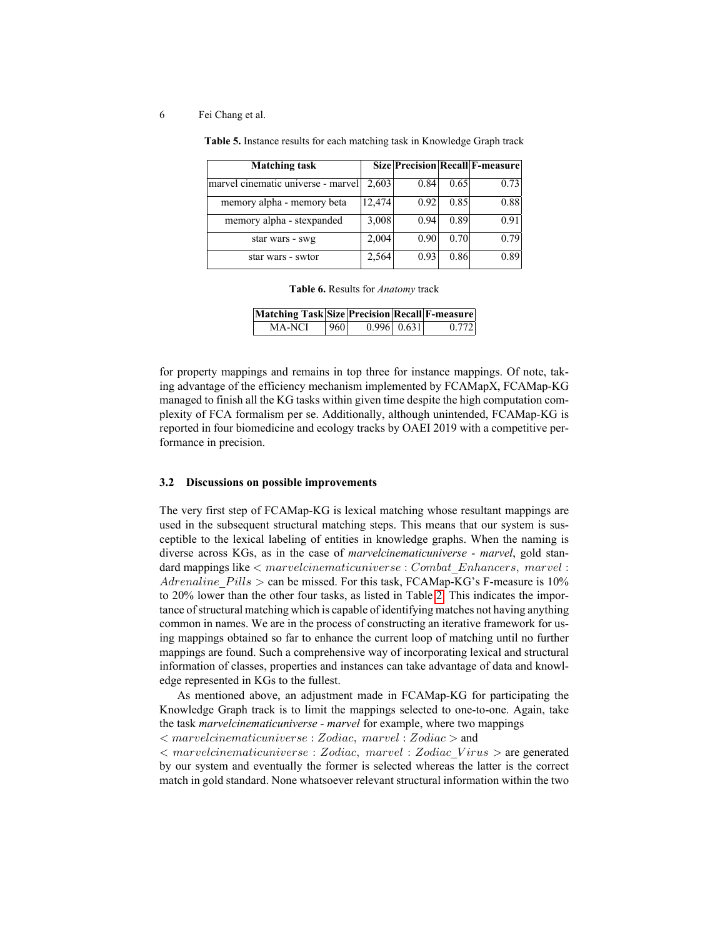<span id="page-5-0"></span>**Table 5.** Instance results for each matching task in Knowledge Graph track

| <b>Matching task</b>               |        |      |      | <b>Size Precision Recall F-measure</b> |
|------------------------------------|--------|------|------|----------------------------------------|
| marvel cinematic universe - marvel | 2,603  | 0.84 | 0.65 | 0.73                                   |
| memory alpha - memory beta         | 12,474 | 0.92 | 0.85 | 0.88                                   |
| memory alpha - stexpanded          | 3,008  | 0.94 | 0.89 | 0.91                                   |
| star wars - swg                    | 2,004  | 0.90 | 0.70 | 0.79                                   |
| star wars - swtor                  | 2,564  | 0.93 | 0.86 | 0.89                                   |

<span id="page-5-1"></span>

|  |  | Table 6. Results for Anatomy track |  |
|--|--|------------------------------------|--|
|--|--|------------------------------------|--|

| Matching Task Size Precision Recall F-measure |     |             |       |
|-----------------------------------------------|-----|-------------|-------|
| MA-NCI                                        | 960 | 0.996 0.631 | 0.772 |

for property mappings and remains in top three for instance mappings. Of note, taking advantage of the efficiency mechanism implemented by FCAMapX, FCAMap-KG managed to finish all the KG tasks within given time despite the high computation complexity of FCA formalism per se. Additionally, although unintended, FCAMap-KG is reported in four biomedicine and ecology tracks by OAEI 2019 with a competitive performance in precision.

## **3.2 Discussions on possible improvements**

The very first step of FCAMap-KG is lexical matching whose resultant mappings are used in the subsequent structural matching steps. This means that our system is susceptible to the lexical labeling of entities in knowledge graphs. When the naming is diverse across KGs, as in the case of *marvelcinematicuniverse - marvel*, gold standard mappings like  $\langle$  marvelcinematicuniverse : Combat\_Enhancers, marvel : Adrenaline Pills > can be missed. For this task, FCAMap-KG's F-measure is  $10\%$ to 20% lower than the other four tasks, as listed in Table [2.](#page-3-1) This indicates the importance of structural matching which is capable of identifying matches not having anything common in names. We are in the process of constructing an iterative framework for using mappings obtained so far to enhance the current loop of matching until no further mappings are found. Such a comprehensive way of incorporating lexical and structural information of classes, properties and instances can take advantage of data and knowledge represented in KGs to the fullest.

As mentioned above, an adjustment made in FCAMap-KG for participating the Knowledge Graph track is to limit the mappings selected to one-to-one. Again, take the task *marvelcinematicuniverse - marvel* for example, where two mappings  $\langle$  marvelcinematicuniverse : Zodiac, marvel : Zodiac  $>$  and

 $\langle$  marvelcinematicuniverse : Zodiac, marvel : Zodiac Virus  $>$  are generated by our system and eventually the former is selected whereas the latter is the correct match in gold standard. None whatsoever relevant structural information within the two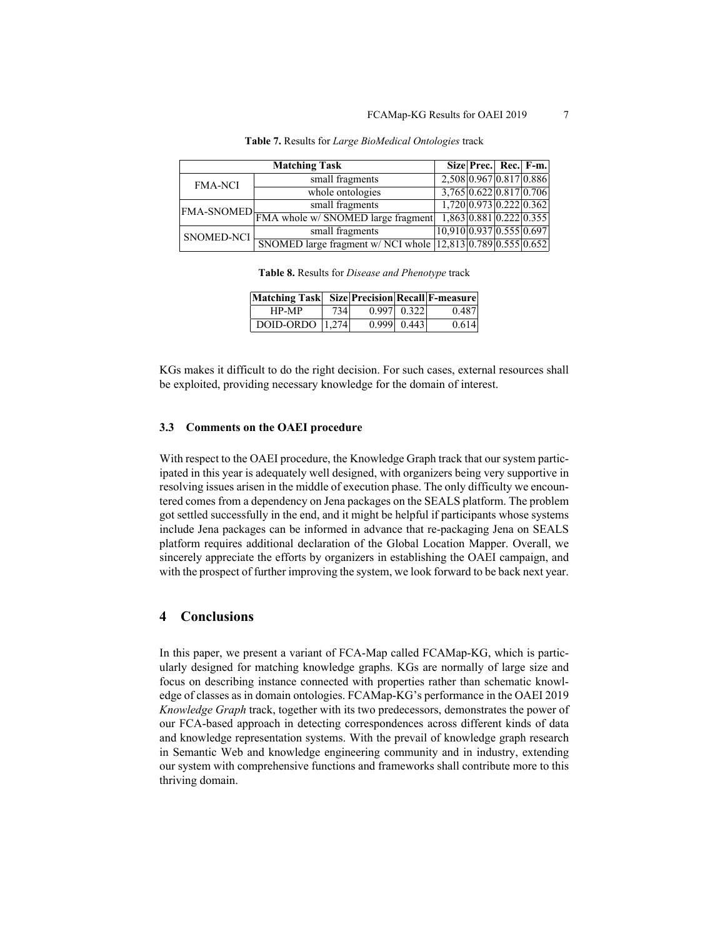#### FCAMap-KG Results for OAEI 2019 7

|                   |                                                             | Size Prec. Rec. F-m.       |                           |  |
|-------------------|-------------------------------------------------------------|----------------------------|---------------------------|--|
| <b>FMA-NCI</b>    | small fragments                                             | 2,508 0.967 0.817 0.886    |                           |  |
|                   | whole ontologies                                            | $3,765$ 0.622 0.817 0.706  |                           |  |
|                   | small fragments                                             |                            | $1,720$ 0.973 0.222 0.362 |  |
|                   | FMA-SNOMED FMA whole w/SNOMED large fragment                | $1,863$ 0.881 0.222 0.355  |                           |  |
| <b>SNOMED-NCI</b> | small fragments                                             | $10,910$ 0.937 0.555 0.697 |                           |  |
|                   | SNOMED large fragment w/ NCI whole 12,813 0.789 0.555 0.652 |                            |                           |  |

<span id="page-6-0"></span>**Table 7.** Results for *Large BioMedical Ontologies* track

<span id="page-6-1"></span>**Table 8.** Results for *Disease and Phenotype* track

| Matching Task Size Precision Recall F-measure |     |                    |       |
|-----------------------------------------------|-----|--------------------|-------|
| HP-MP                                         | 734 | $0.997$   $0.322$  | 0.487 |
| DOID-ORDO $ 1,274 $                           |     | $0.999 \mid 0.443$ | 0.614 |

KGs makes it difficult to do the right decision. For such cases, external resources shall be exploited, providing necessary knowledge for the domain of interest.

# **3.3 Comments on the OAEI procedure**

With respect to the OAEI procedure, the Knowledge Graph track that our system participated in this year is adequately well designed, with organizers being very supportive in resolving issues arisen in the middle of execution phase. The only difficulty we encountered comes from a dependency on Jena packages on the SEALS platform. The problem got settled successfully in the end, and it might be helpful if participants whose systems include Jena packages can be informed in advance that re-packaging Jena on SEALS platform requires additional declaration of the Global Location Mapper. Overall, we sincerely appreciate the efforts by organizers in establishing the OAEI campaign, and with the prospect of further improving the system, we look forward to be back next year.

# **4 Conclusions**

In this paper, we present a variant of FCA-Map called FCAMap-KG, which is particularly designed for matching knowledge graphs. KGs are normally of large size and focus on describing instance connected with properties rather than schematic knowledge of classes as in domain ontologies. FCAMap-KG's performance in the OAEI 2019 *Knowledge Graph* track, together with its two predecessors, demonstrates the power of our FCA-based approach in detecting correspondences across different kinds of data and knowledge representation systems. With the prevail of knowledge graph research in Semantic Web and knowledge engineering community and in industry, extending our system with comprehensive functions and frameworks shall contribute more to this thriving domain.